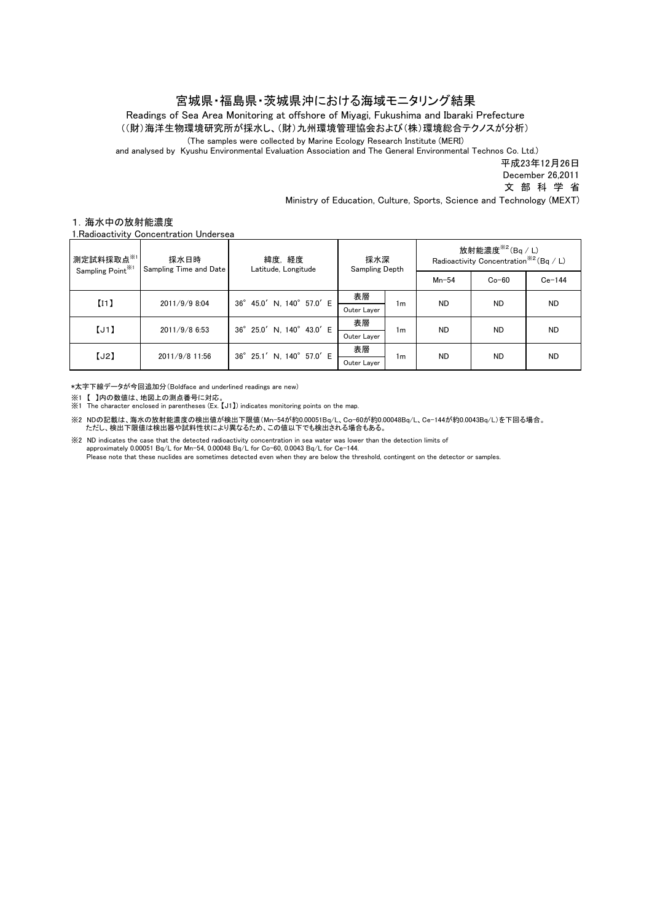## 宮城県・福島県・茨城県沖における海域モニタリング結果

Readings of Sea Area Monitoring at offshore of Miyagi, Fukushima and Ibaraki Prefecture ((財)海洋生物環境研究所が採水し、(財)九州環境管理協会および(株)環境総合テクノスが分析)

(The samples were collected by Marine Ecology Research Institute (MERI)

and analysed by Kyushu Environmental Evaluation Association and The General Environmental Technos Co. Ltd.)

平成23年12月26日

December 26,2011

文 部 科 学 省

Ministry of Education, Culture, Sports, Science and Technology (MEXT)

## 1.海水中の放射能濃度

1.Radioactivity Concentration Undersea

| 測定試料採取点※1<br>Sampling Point <sup>※1</sup> | 採水日時<br>Sampling Time and Date | 緯度,経度<br>Latitude, Longitude | 採水深<br>Sampling Depth |                | 放射能濃度 $*$ <sup>2</sup> (Bq / L)<br>Radioactivity Concentration <sup>**2</sup> (Bq / L) |           |           |
|-------------------------------------------|--------------------------------|------------------------------|-----------------------|----------------|----------------------------------------------------------------------------------------|-----------|-----------|
|                                           |                                |                              |                       |                | $Mn-54$                                                                                | $Co-60$   | $Ce-144$  |
| [11]                                      | 2011/9/9 8:04                  | 36° 45.0' N, 140° 57.0' E    | 表層                    | 1m             | <b>ND</b>                                                                              | <b>ND</b> | <b>ND</b> |
|                                           |                                |                              | Outer Layer           |                |                                                                                        |           |           |
| [J1]                                      | 2011/9/8 6:53                  | 36° 25.0' N, 140° 43.0' E    | 表層                    | 1 <sub>m</sub> | <b>ND</b>                                                                              | <b>ND</b> | <b>ND</b> |
|                                           |                                |                              | Outer Laver           |                |                                                                                        |           |           |
| [J2]                                      | 2011/9/8 11:56                 | 36° 25.1' N, 140° 57.0' E    | 表層                    | 1 <sub>m</sub> | <b>ND</b>                                                                              | <b>ND</b> | <b>ND</b> |
|                                           |                                |                              | Outer Layer           |                |                                                                                        |           |           |

\*太字下線データが今回追加分(Boldface and underlined readings are new)

※1 【 】内の数値は、地図上の測点番号に対応。<br>※1 The character enclosed in parentheses (Ex. 【J1】) indicates monitoring points on the map.

※2 NDの記載は、海水の放射能濃度の検出値が検出下限値(Mn-54が約0.00051Bq/L、Co-60が約0.00048Bq/L、Ce-144が約0.0043Bq/L)を下回る場合。 ただし、検出下限値は検出器や試料性状により異なるため、この値以下でも検出される場合もある。

※2 ND indicates the case that the detected radioactivity concentration in sea water was lower than the detection limits of

 approximately 0.00051 Bq/L for Mn-54, 0.00048 Bq/L for Co-60, 0.0043 Bq/L for Ce-144. Please note that these nuclides are sometimes detected even when they are below the threshold, contingent on the detector or samples.